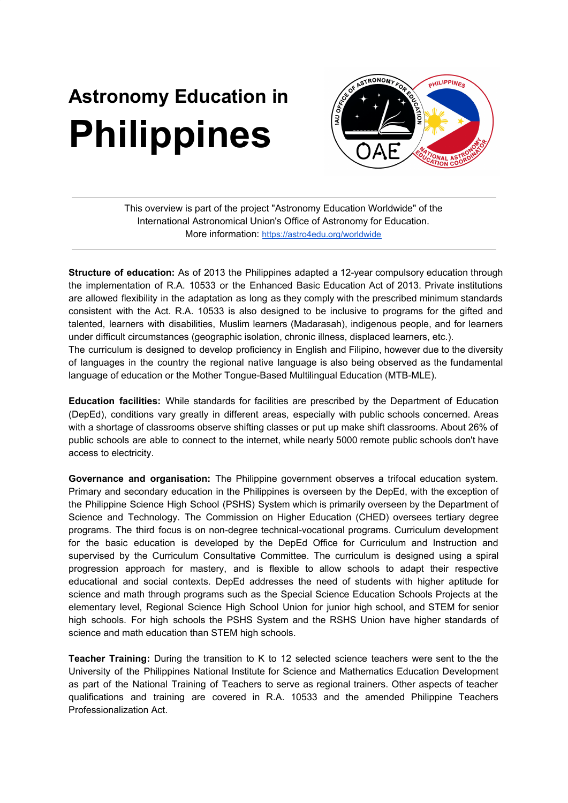## **Astronomy Education in Philippines**



This overview is part of the project "Astronomy Education Worldwide" of the International Astronomical Union's Office of Astronomy for Education. More information: <https://astro4edu.org/worldwide>

**Structure of education:** As of 2013 the Philippines adapted a 12-year compulsory education through the implementation of R.A. 10533 or the Enhanced Basic Education Act of 2013. Private institutions are allowed flexibility in the adaptation as long as they comply with the prescribed minimum standards consistent with the Act. R.A. 10533 is also designed to be inclusive to programs for the gifted and talented, learners with disabilities, Muslim learners (Madarasah), indigenous people, and for learners under difficult circumstances (geographic isolation, chronic illness, displaced learners, etc.). The curriculum is designed to develop proficiency in English and Filipino, however due to the diversity

of languages in the country the regional native language is also being observed as the fundamental language of education or the Mother Tongue-Based Multilingual Education (MTB-MLE).

**Education facilities:** While standards for facilities are prescribed by the Department of Education (DepEd), conditions vary greatly in different areas, especially with public schools concerned. Areas with a shortage of classrooms observe shifting classes or put up make shift classrooms. About 26% of public schools are able to connect to the internet, while nearly 5000 remote public schools don't have access to electricity.

**Governance and organisation:** The Philippine government observes a trifocal education system. Primary and secondary education in the Philippines is overseen by the DepEd, with the exception of the Philippine Science High School (PSHS) System which is primarily overseen by the Department of Science and Technology. The Commission on Higher Education (CHED) oversees tertiary degree programs. The third focus is on non-degree technical-vocational programs. Curriculum development for the basic education is developed by the DepEd Office for Curriculum and Instruction and supervised by the Curriculum Consultative Committee. The curriculum is designed using a spiral progression approach for mastery, and is flexible to allow schools to adapt their respective educational and social contexts. DepEd addresses the need of students with higher aptitude for science and math through programs such as the Special Science Education Schools Projects at the elementary level, Regional Science High School Union for junior high school, and STEM for senior high schools. For high schools the PSHS System and the RSHS Union have higher standards of science and math education than STEM high schools.

**Teacher Training:** During the transition to K to 12 selected science teachers were sent to the the University of the Philippines National Institute for Science and Mathematics Education Development as part of the National Training of Teachers to serve as regional trainers. Other aspects of teacher qualifications and training are covered in R.A. 10533 and the amended Philippine Teachers Professionalization Act.